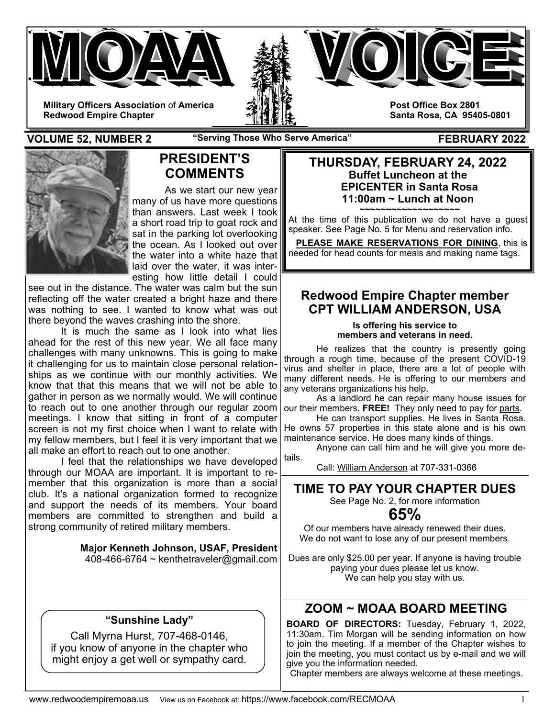





**Post Office Box 2801** 

**Santa Rosa, CA 95405-0801** 

**Military Officers Association** of **America Redwood Empire Chapter** 

**VOLUME 52, NUMBER 2** The "Serving Those Who Serve America" FEBRUARY 2022



## **PRESIDENT'S COMMENTS**

As we start our new year many of us have more questions than answers. Last week I took a short road trip to goat rock and sat in the parking lot overlooking the ocean. As I looked out over the water into a white haze that laid over the water, it was interesting how little detail I could

see out in the distance. The water was calm but the sun reflecting off the water created a bright haze and there was nothing to see. I wanted to know what was out there beyond the waves crashing into the shore.

 It is much the same as I look into what lies ahead for the rest of this new year. We all face many challenges with many unknowns. This is going to make it challenging for us to maintain close personal relationships as we continue with our monthly activities. We know that that this means that we will not be able to gather in person as we normally would. We will continue to reach out to one another through our regular zoom meetings. I know that sitting in front of a computer screen is not my first choice when I want to relate with my fellow members, but I feel it is very important that we all make an effort to reach out to one another.

 I feel that the relationships we have developed through our MOAA are important. It is important to remember that this organization is more than a social club. It's a national organization formed to recognize and support the needs of its members. Your board members are committed to strengthen and build a strong community of retired military members.

> **Major Kenneth Johnson, USAF, President**  408-466-6764 ~ kenthetraveler@gmail.com

### **"Sunshine Lady"**

Call Myrna Hurst, 707-468-0146, if you know of anyone in the chapter who might enjoy a get well or sympathy card.

### **THURSDAY, FEBRUARY 24, 2022 Buffet Luncheon at the EPICENTER in Santa Rosa 11:00am ~ Lunch at Noon**

**~~~~~~~~~~~~~~~~~~~**  At the time of this publication we do not have a guest speaker. See Page No. 5 for Menu and reservation info.

 **PLEASE MAKE RESERVATIONS FOR DINING**, this is needed for head counts for meals and making name tags.

### **Redwood Empire Chapter member CPT WILLIAM ANDERSON, USA**

**Is offering his service to members and veterans in need.** 

 He realizes that the country is presently going through a rough time, because of the present COVID-19 virus and shelter in place, there are a lot of people with many different needs. He is offering to our members and any veterans organizations his help.

 As a landlord he can repair many house issues for our their members. **FREE!** They only need to pay for parts.

 He can transport supplies. He lives in Santa Rosa. He owns 57 properties in this state alone and is his own maintenance service. He does many kinds of things.

 Anyone can call him and he will give you more details.

Call: William Anderson at 707-331-0366

## **TIME TO PAY YOUR CHAPTER DUES**

See Page No. 2, for more information

## **65%**

Of our members have already renewed their dues. We do not want to lose any of our present members.

Dues are only \$25.00 per year. If anyone is having trouble paying your dues please let us know. We can help you stay with us.

## **ZOOM ~ MOAA BOARD MEETING**

**BOARD OF DIRECTORS:** Tuesday, February 1, 2022, 11:30am. Tim Morgan will be sending information on how to join the meeting. If a member of the Chapter wishes to join the meeting, you must contact us by e-mail and we will give you the information needed.

Chapter members are always welcome at these meetings.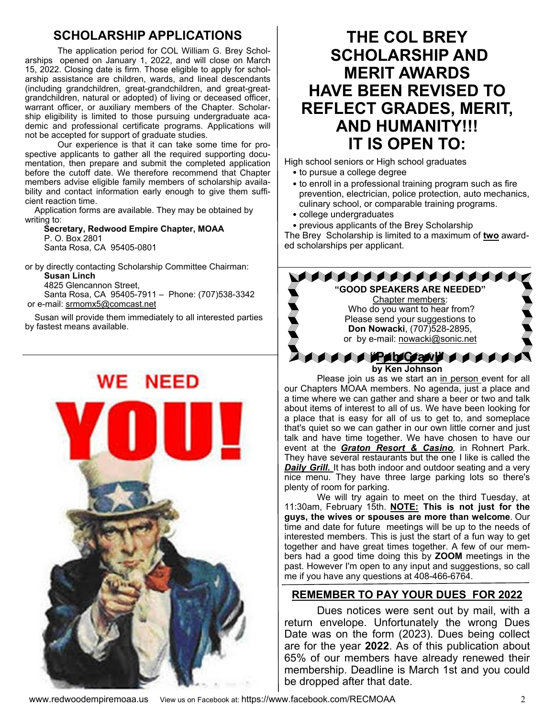### **SCHOLARSHIP APPLICATIONS**

 The application period for COL William G. Brey Scholarships opened on January 1, 2022, and will close on March 15, 2022. Closing date is firm. Those eligible to apply for scholarship assistance are children, wards, and lineal descendants (including grandchildren, great-grandchildren, and great-greatgrandchildren, natural or adopted) of living or deceased officer, warrant officer, or auxiliary members of the Chapter. Scholarship eligibility is limited to those pursuing undergraduate academic and professional certificate programs. Applications will not be accepted for support of graduate studies.

Our experience is that it can take some time for prospective applicants to gather all the required supporting documentation, then prepare and submit the completed application before the cutoff date. We therefore recommend that Chapter members advise eligible family members of scholarship availability and contact information early enough to give them sufficient reaction time.

 Application forms are available. They may be obtained by writing to:

 **Secretary, Redwood Empire Chapter, MOAA** P. O. Box 2801 Santa Rosa, CA 95405-0801

or by directly contacting Scholarship Committee Chairman: **Susan Linch** 4825 Glencannon Street, Santa Rosa, CA 95405-7911 – Phone: (707)538-3342

or e-mail: srmomx5@comcast.net

 Susan will provide them immediately to all interested parties by fastest means available.

## **SCHOLARSHIP AND MERIT AWARDS HAVE BEEN REVISED TO REFLECT GRADES, MERIT,**

**AND HUMANITY!!! IT IS OPEN TO:** 

**THE COL BREY** 

High school seniors or High school graduates

- to pursue a college degree
- to enroll in a professional training program such as fire prevention, electrician, police protection, auto mechanics, culinary school, or comparable training programs.
- college undergraduates

• previous applicants of the Brey Scholarship The Brey Scholarship is limited to a maximum of **two** awarded scholarships per applicant.



Please join us as we start an in person event for all our Chapters MOAA members. No agenda, just a place and a time where we can gather and share a beer or two and talk about items of interest to all of us. We have been looking for a place that is easy for all of us to get to, and someplace that's quiet so we can gather in our own little corner and just talk and have time together. We have chosen to have our event at the *Graton Resort & Casino,* in Rohnert Park. They have several restaurants but the one I like is called the **Daily Grill.** It has both indoor and outdoor seating and a very nice menu. They have three large parking lots so there's plenty of room for parking.

 We will try again to meet on the third Tuesday, at 11:30am, February 15th. **NOTE: This is not just for the guys, the wives or spouses are more than welcome**. Our time and date for future meetings will be up to the needs of interested members. This is just the start of a fun way to get together and have great times together. A few of our members had a good time doing this by **ZOOM** meetings in the past. However I'm open to any input and suggestions, so call me if you have any questions at 408-466-6764.

### **REMEMBER TO PAY YOUR DUES FOR 2022**

 Dues notices were sent out by mail, with a return envelope. Unfortunately the wrong Dues Date was on the form (2023). Dues being collect are for the year **2022**. As of this publication about 65% of our members have already renewed their membership. Deadline is March 1st and you could be dropped after that date.

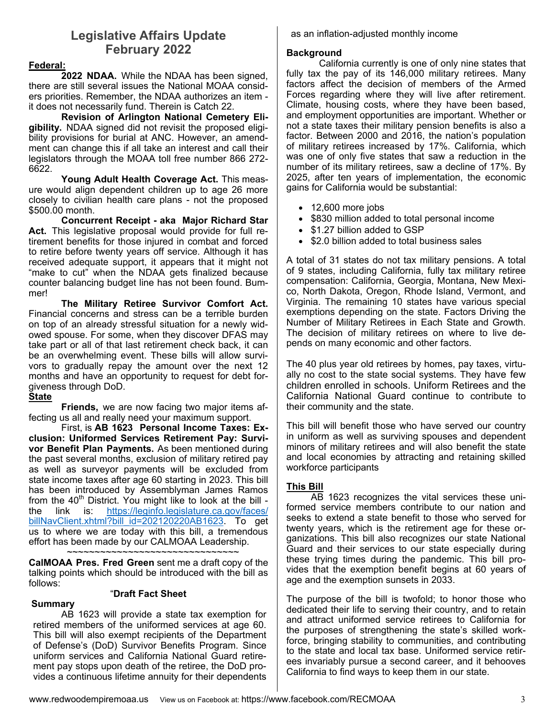### **Legislative Affairs Update February 2022**

#### **Federal:**

 **2022 NDAA.** While the NDAA has been signed, there are still several issues the National MOAA considers priorities. Remember, the NDAA authorizes an item it does not necessarily fund. Therein is Catch 22.

**Revision of Arlington National Cemetery Eligibility.** NDAA signed did not revisit the proposed eligibility provisions for burial at ANC. However, an amendment can change this if all take an interest and call their legislators through the MOAA toll free number 866 272- 6622.

**Young Adult Health Coverage Act.** This measure would align dependent children up to age 26 more closely to civilian health care plans - not the proposed \$500.00 month.

 **Concurrent Receipt - aka Major Richard Star Act.** This legislative proposal would provide for full retirement benefits for those injured in combat and forced to retire before twenty years off service. Although it has received adequate support, it appears that it might not "make to cut" when the NDAA gets finalized because counter balancing budget line has not been found. Bummer!

**The Military Retiree Survivor Comfort Act.**  Financial concerns and stress can be a terrible burden on top of an already stressful situation for a newly widowed spouse. For some, when they discover DFAS may take part or all of that last retirement check back, it can be an overwhelming event. These bills will allow survivors to gradually repay the amount over the next 12 months and have an opportunity to request for debt forgiveness through DoD.

#### **State**

 **Friends,** we are now facing two major items affecting us all and really need your maximum support.

 First, is **AB 1623 Personal Income Taxes: Exclusion: Uniformed Services Retirement Pay: Survivor Benefit Plan Payments.** As been mentioned during the past several months, exclusion of military retired pay as well as surveyor payments will be excluded from state income taxes after age 60 starting in 2023. This bill has been introduced by Assemblyman James Ramos from the  $40<sup>th</sup>$  District. You might like to look at the bill the link is: https://leginfo.legislature.ca.gov/faces/ billNavClient.xhtml?bill\_id=202120220AB1623. To get us to where we are today with this bill, a tremendous effort has been made by our CALMOAA Leadership. ~~~~~~~~~~~~~~~~~~~~~~~~~~~~~~~

**CalMOAA Pres. Fred Green** sent me a draft copy of the talking points which should be introduced with the bill as follows:

#### "**Draft Fact Sheet**

#### **Summary**

 AB 1623 will provide a state tax exemption for retired members of the uniformed services at age 60. This bill will also exempt recipients of the Department of Defense's (DoD) Survivor Benefits Program. Since uniform services and California National Guard retirement pay stops upon death of the retiree, the DoD provides a continuous lifetime annuity for their dependents

as an inflation-adjusted monthly income

#### **Background**

 California currently is one of only nine states that fully tax the pay of its 146,000 military retirees. Many factors affect the decision of members of the Armed Forces regarding where they will live after retirement. Climate, housing costs, where they have been based, and employment opportunities are important. Whether or not a state taxes their military pension benefits is also a factor. Between 2000 and 2016, the nation's population of military retirees increased by 17%. California, which was one of only five states that saw a reduction in the number of its military retirees, saw a decline of 17%. By 2025, after ten years of implementation, the economic gains for California would be substantial:

- $\bullet$  12,600 more jobs
- \$830 million added to total personal income
- \$1.27 billion added to GSP
- \$2.0 billion added to total business sales

A total of 31 states do not tax military pensions. A total of 9 states, including California, fully tax military retiree compensation: California, Georgia, Montana, New Mexico, North Dakota, Oregon, Rhode Island, Vermont, and Virginia. The remaining 10 states have various special exemptions depending on the state. Factors Driving the Number of Military Retirees in Each State and Growth. The decision of military retirees on where to live depends on many economic and other factors.

The 40 plus year old retirees by homes, pay taxes, virtually no cost to the state social systems. They have few children enrolled in schools. Uniform Retirees and the California National Guard continue to contribute to their community and the state.

This bill will benefit those who have served our country in uniform as well as surviving spouses and dependent minors of military retirees and will also benefit the state and local economies by attracting and retaining skilled workforce participants

#### **This Bill**

AB 1623 recognizes the vital services these uniformed service members contribute to our nation and seeks to extend a state benefit to those who served for twenty years, which is the retirement age for these organizations. This bill also recognizes our state National Guard and their services to our state especially during these trying times during the pandemic. This bill provides that the exemption benefit begins at 60 years of age and the exemption sunsets in 2033.

The purpose of the bill is twofold; to honor those who dedicated their life to serving their country, and to retain and attract uniformed service retirees to California for the purposes of strengthening the state's skilled workforce, bringing stability to communities, and contributing to the state and local tax base. Uniformed service retirees invariably pursue a second career, and it behooves California to find ways to keep them in our state.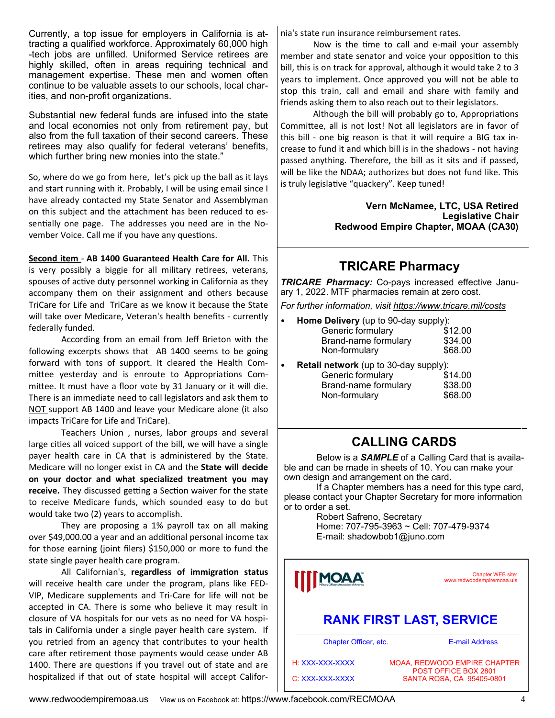Currently, a top issue for employers in California is attracting a qualified workforce. Approximately 60,000 high -tech jobs are unfilled. Uniformed Service retirees are highly skilled, often in areas requiring technical and management expertise. These men and women often continue to be valuable assets to our schools, local charities, and non-profit organizations.

Substantial new federal funds are infused into the state and local economies not only from retirement pay, but also from the full taxation of their second careers. These retirees may also qualify for federal veterans' benefits, which further bring new monies into the state."

So, where do we go from here, let's pick up the ball as it lays and start running with it. Probably, I will be using email since I have already contacted my State Senator and Assemblyman on this subject and the attachment has been reduced to essentially one page. The addresses you need are in the November Voice. Call me if you have any questions.

**Second item** ‐ **AB 1400 Guaranteed Health Care for All.** This is very possibly a biggie for all military retirees, veterans, spouses of active duty personnel working in California as they accompany them on their assignment and others because TriCare for Life and TriCare as we know it because the State will take over Medicare, Veteran's health benefits ‐ currently federally funded.

 According from an email from Jeff Brieton with the following excerpts shows that AB 1400 seems to be going forward with tons of support. It cleared the Health Com‐ mittee yesterday and is enroute to Appropriations Committee. It must have a floor vote by 31 January or it will die. There is an immediate need to call legislators and ask them to NOT support AB 1400 and leave your Medicare alone (it also impacts TriCare for Life and TriCare).

 Teachers Union , nurses, labor groups and several large cities all voiced support of the bill, we will have a single payer health care in CA that is administered by the State. Medicare will no longer exist in CA and the **State will decide on your doctor and what specialized treatment you may receive.** They discussed getting a Section waiver for the state to receive Medicare funds, which sounded easy to do but would take two (2) years to accomplish.

They are proposing a 1% payroll tax on all making over \$49,000.00 a year and an additional personal income tax for those earning (joint filers) \$150,000 or more to fund the state single payer health care program.

All Californian's, regardless of *immigration* status will receive health care under the program, plans like FED‐ VIP, Medicare supplements and Tri‐Care for life will not be accepted in CA. There is some who believe it may result in closure of VA hospitals for our vets as no need for VA hospi‐ tals in California under a single payer health care system. If you retried from an agency that contributes to your health care after retirement those payments would cease under AB 1400. There are questions if you travel out of state and are hospitalized if that out of state hospital will accept Califor‐

nia's state run insurance reimbursement rates.

Now is the time to call and e-mail your assembly member and state senator and voice your opposition to this bill, this is on track for approval, although it would take 2 to 3 years to implement. Once approved you will not be able to stop this train, call and email and share with family and friends asking them to also reach out to their legislators.

Although the bill will probably go to, Appropriations Committee, all is not lost! Not all legislators are in favor of this bill ‐ one big reason is that it will require a BIG tax in‐ crease to fund it and which bill is in the shadows ‐ not having passed anything. Therefore, the bill as it sits and if passed, will be like the NDAA; authorizes but does not fund like. This is truly legislative "quackery". Keep tuned!

> **Vern McNamee, LTC, USA Retired Legislative Chair Redwood Empire Chapter, MOAA (CA30)**

### **TRICARE Pharmacy**

*TRICARE Pharmacy:* Co-pays increased effective January 1, 2022. MTF pharmacies remain at zero cost.

*For further information, visit https://www.tricare.mil/costs* 

| <b>Home Delivery</b> (up to 90-day supply):<br>$\bullet$ |         |  |  |
|----------------------------------------------------------|---------|--|--|
| Generic formulary                                        | \$12.00 |  |  |
| Brand-name formulary                                     | \$34.00 |  |  |
| Non-formulary                                            | \$68.00 |  |  |
|                                                          |         |  |  |

| $\bullet$ | <b>Retail network</b> (up to 30-day supply): |         |  |
|-----------|----------------------------------------------|---------|--|
|           | Generic formulary                            | \$14.00 |  |
|           | Brand-name formulary                         | \$38.00 |  |
|           | Non-formulary                                | \$68.00 |  |

### **CALLING CARDS**

 Below is a *SAMPLE* of a Calling Card that is available and can be made in sheets of 10. You can make your own design and arrangement on the card.

 If a Chapter members has a need for this type card, please contact your Chapter Secretary for more information or to order a set.

> Robert Safreno, Secretary Home: 707-795-3963 ~ Cell: 707-479-9374 E-mail: shadowbob1@juno.com

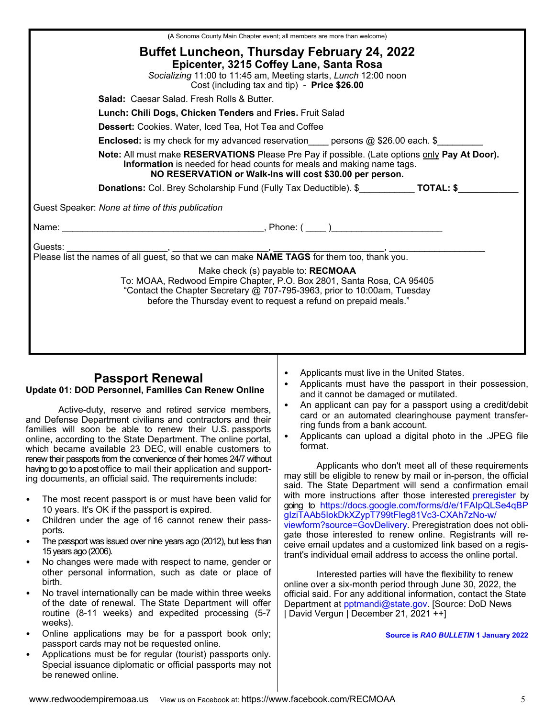|                                                                                                                                                                                                                                    | (A Sonoma County Main Chapter event; all members are more than welcome)                                                                                                                                                                                     |  |  |  |  |  |
|------------------------------------------------------------------------------------------------------------------------------------------------------------------------------------------------------------------------------------|-------------------------------------------------------------------------------------------------------------------------------------------------------------------------------------------------------------------------------------------------------------|--|--|--|--|--|
|                                                                                                                                                                                                                                    | <b>Buffet Luncheon, Thursday February 24, 2022</b><br>Epicenter, 3215 Coffey Lane, Santa Rosa<br>Socializing 11:00 to 11:45 am, Meeting starts, Lunch 12:00 noon<br>Cost (including tax and tip) - Price \$26.00                                            |  |  |  |  |  |
|                                                                                                                                                                                                                                    | <b>Salad: Caesar Salad, Fresh Rolls &amp; Butter,</b>                                                                                                                                                                                                       |  |  |  |  |  |
|                                                                                                                                                                                                                                    | Lunch: Chili Dogs, Chicken Tenders and Fries. Fruit Salad                                                                                                                                                                                                   |  |  |  |  |  |
|                                                                                                                                                                                                                                    | <b>Dessert:</b> Cookies. Water, Iced Tea, Hot Tea and Coffee                                                                                                                                                                                                |  |  |  |  |  |
|                                                                                                                                                                                                                                    | <b>Enclosed:</b> is my check for my advanced reservation persons $@$ \$26.00 each. \$                                                                                                                                                                       |  |  |  |  |  |
| Note: All must make RESERVATIONS Please Pre Pay if possible. (Late options only Pay At Door).<br>Information is needed for head counts for meals and making name tags.<br>NO RESERVATION or Walk-Ins will cost \$30.00 per person. |                                                                                                                                                                                                                                                             |  |  |  |  |  |
|                                                                                                                                                                                                                                    | Donations: Col. Brey Scholarship Fund (Fully Tax Deductible). \$____________ TOTAL: \$_________                                                                                                                                                             |  |  |  |  |  |
|                                                                                                                                                                                                                                    | Guest Speaker: None at time of this publication                                                                                                                                                                                                             |  |  |  |  |  |
|                                                                                                                                                                                                                                    |                                                                                                                                                                                                                                                             |  |  |  |  |  |
|                                                                                                                                                                                                                                    |                                                                                                                                                                                                                                                             |  |  |  |  |  |
|                                                                                                                                                                                                                                    |                                                                                                                                                                                                                                                             |  |  |  |  |  |
|                                                                                                                                                                                                                                    | Make check (s) payable to: RECMOAA<br>To: MOAA, Redwood Empire Chapter, P.O. Box 2801, Santa Rosa, CA 95405<br>"Contact the Chapter Secretary @ 707-795-3963, prior to 10:00am, Tuesday<br>before the Thursday event to request a refund on prepaid meals." |  |  |  |  |  |
|                                                                                                                                                                                                                                    |                                                                                                                                                                                                                                                             |  |  |  |  |  |

#### **Passport Renewal Update 01: DOD Personnel, Families Can Renew Online**

 Active-duty, reserve and retired service members, and Defense Department civilians and contractors and their families will soon be able to renew their U.S. passports online, according to the State Department. The online portal, which became available 23 DEC, will enable customers to renew their passports from the convenience of their homes 24/7 without having to go to a post office to mail their application and supporting documents, an official said. The requirements include:

- The most recent passport is or must have been valid for 10 years. It's OK if the passport is expired.
- Children under the age of 16 cannot renew their passports.
- The passport was issued over nine years ago (2012), but less than 15 years ago (2006).
- No changes were made with respect to name, gender or other personal information, such as date or place of birth.
- No travel internationally can be made within three weeks of the date of renewal. The State Department will offer routine (8-11 weeks) and expedited processing (5-7 weeks).
- Online applications may be for a passport book only; passport cards may not be requested online.
- Applications must be for regular (tourist) passports only. Special issuance diplomatic or official passports may not be renewed online.
- Applicants must live in the United States.
- Applicants must have the passport in their possession, and it cannot be damaged or mutilated.
- An applicant can pay for a passport using a credit/debit card or an automated clearinghouse payment transferring funds from a bank account.
- Applicants can upload a digital photo in the .JPEG file format.

 Applicants who don't meet all of these requirements may still be eligible to renew by mail or in-person, the official said. The State Department will send a confirmation email with more instructions after those interested preregister by going to https://docs.google.com/forms/d/e/1FAIpQLSe4qBP gIziTAAb5IokDkXZypT799tFleg81Vc3-CXAh7zNo-w/ viewform?source=GovDelivery. Preregistration does not obligate those interested to renew online. Registrants will receive email updates and a customized link based on a registrant's individual email address to access the online portal.

 Interested parties will have the flexibility to renew online over a six-month period through June 30, 2022, the official said. For any additional information, contact the State Department at pptmandi@state.gov. [Source: DoD News | David Vergun | December 21, 2021 ++]

**Source is** *RAO BULLETIN* **1 January 2022**